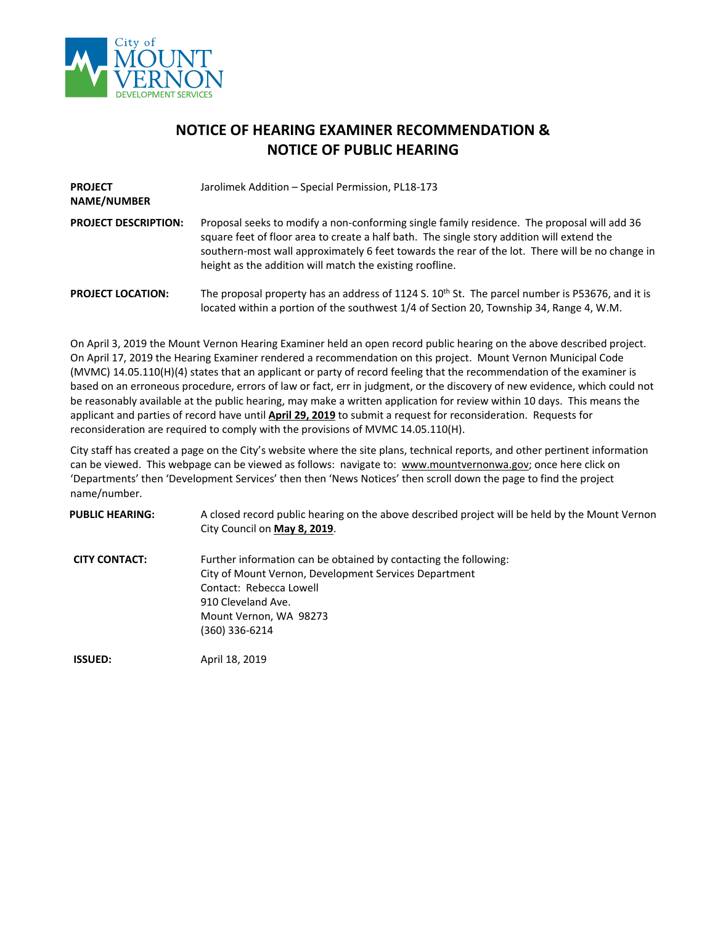

## **NOTICE OF HEARING EXAMINER RECOMMENDATION & NOTICE OF PUBLIC HEARING**

| <b>PROJECT</b><br>NAME/NUMBER | Jarolimek Addition - Special Permission, PL18-173                                                                                                                                                                                                                                                                                                        |  |
|-------------------------------|----------------------------------------------------------------------------------------------------------------------------------------------------------------------------------------------------------------------------------------------------------------------------------------------------------------------------------------------------------|--|
| <b>PROJECT DESCRIPTION:</b>   | Proposal seeks to modify a non-conforming single family residence. The proposal will add 36<br>square feet of floor area to create a half bath. The single story addition will extend the<br>southern-most wall approximately 6 feet towards the rear of the lot. There will be no change in<br>height as the addition will match the existing roofline. |  |
| <b>PROJECT LOCATION:</b>      | The proposal property has an address of 1124 S. 10 <sup>th</sup> St. The parcel number is P53676, and it is<br>located within a portion of the southwest 1/4 of Section 20, Township 34, Range 4, W.M.                                                                                                                                                   |  |

On April 3, 2019 the Mount Vernon Hearing Examiner held an open record public hearing on the above described project. On April 17, 2019 the Hearing Examiner rendered a recommendation on this project. Mount Vernon Municipal Code (MVMC) 14.05.110(H)(4) states that an applicant or party of record feeling that the recommendation of the examiner is based on an erroneous procedure, errors of law or fact, err in judgment, or the discovery of new evidence, which could not be reasonably available at the public hearing, may make a written application for review within 10 days. This means the applicant and parties of record have until **April 29, 2019** to submit a request for reconsideration. Requests for reconsideration are required to comply with the provisions of MVMC 14.05.110(H).

City staff has created a page on the City's website where the site plans, technical reports, and other pertinent information can be viewed. This webpage can be viewed as follows: navigate to: [www.mountvernonwa.gov;](http://www.mountvernonwa.gov/) once here click on 'Departments' then 'Development Services' then then 'News Notices' then scroll down the page to find the project name/number.

**PUBLIC HEARING:** A closed record public hearing on the above described project will be held by the Mount Vernon City Council on **May 8, 2019**.

**CITY CONTACT:** Further information can be obtained by contacting the following: City of Mount Vernon, Development Services Department Contact: Rebecca Lowell 910 Cleveland Ave. Mount Vernon, WA 98273 (360) 336-6214

**ISSUED:** April 18, 2019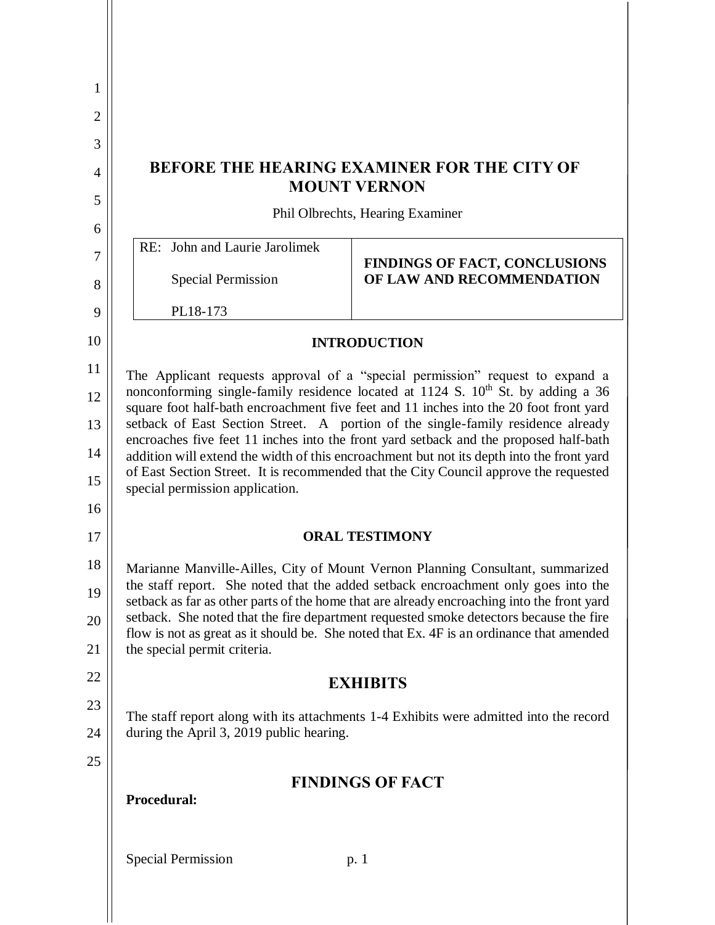| 1              |                                                                                                                                                                                                                                                                                                                                                                     |                                                                                                                                                                                    |  |
|----------------|---------------------------------------------------------------------------------------------------------------------------------------------------------------------------------------------------------------------------------------------------------------------------------------------------------------------------------------------------------------------|------------------------------------------------------------------------------------------------------------------------------------------------------------------------------------|--|
| $\overline{2}$ |                                                                                                                                                                                                                                                                                                                                                                     |                                                                                                                                                                                    |  |
| 3              |                                                                                                                                                                                                                                                                                                                                                                     |                                                                                                                                                                                    |  |
| $\overline{A}$ | <b>BEFORE THE HEARING EXAMINER FOR THE CITY OF</b><br><b>MOUNT VERNON</b>                                                                                                                                                                                                                                                                                           |                                                                                                                                                                                    |  |
| 5              | Phil Olbrechts, Hearing Examiner                                                                                                                                                                                                                                                                                                                                    |                                                                                                                                                                                    |  |
| 6              | John and Laurie Jarolimek<br>RE:                                                                                                                                                                                                                                                                                                                                    |                                                                                                                                                                                    |  |
| 7              |                                                                                                                                                                                                                                                                                                                                                                     | <b>FINDINGS OF FACT, CONCLUSIONS</b>                                                                                                                                               |  |
| 8              | <b>Special Permission</b>                                                                                                                                                                                                                                                                                                                                           | OF LAW AND RECOMMENDATION                                                                                                                                                          |  |
| 9              | PL18-173                                                                                                                                                                                                                                                                                                                                                            |                                                                                                                                                                                    |  |
| 10             | <b>INTRODUCTION</b>                                                                                                                                                                                                                                                                                                                                                 |                                                                                                                                                                                    |  |
| 11             | The Applicant requests approval of a "special permission" request to expand a                                                                                                                                                                                                                                                                                       |                                                                                                                                                                                    |  |
| 12             | nonconforming single-family residence located at 1124 S. 10 <sup>th</sup> St. by adding a 36<br>square foot half-bath encroachment five feet and 11 inches into the 20 foot front yard<br>setback of East Section Street. A portion of the single-family residence already<br>encroaches five feet 11 inches into the front yard setback and the proposed half-bath |                                                                                                                                                                                    |  |
| 13             |                                                                                                                                                                                                                                                                                                                                                                     |                                                                                                                                                                                    |  |
| 14             | addition will extend the width of this encroachment but not its depth into the front yard<br>of East Section Street. It is recommended that the City Council approve the requested<br>special permission application.                                                                                                                                               |                                                                                                                                                                                    |  |
| 15             |                                                                                                                                                                                                                                                                                                                                                                     |                                                                                                                                                                                    |  |
| 16             |                                                                                                                                                                                                                                                                                                                                                                     |                                                                                                                                                                                    |  |
| 17             | <b>ORAL TESTIMONY</b>                                                                                                                                                                                                                                                                                                                                               |                                                                                                                                                                                    |  |
| 18             | Marianne Manville-Ailles, City of Mount Vernon Planning Consultant, summarized<br>the staff report. She noted that the added setback encroachment only goes into the<br>setback as far as other parts of the home that are already encroaching into the front yard                                                                                                  |                                                                                                                                                                                    |  |
| 19             |                                                                                                                                                                                                                                                                                                                                                                     |                                                                                                                                                                                    |  |
| 20             |                                                                                                                                                                                                                                                                                                                                                                     | setback. She noted that the fire department requested smoke detectors because the fire<br>flow is not as great as it should be. She noted that Ex. 4F is an ordinance that amended |  |
| 21             | the special permit criteria.                                                                                                                                                                                                                                                                                                                                        |                                                                                                                                                                                    |  |
| 22             |                                                                                                                                                                                                                                                                                                                                                                     | <b>EXHIBITS</b>                                                                                                                                                                    |  |
| 23             |                                                                                                                                                                                                                                                                                                                                                                     | The staff report along with its attachments 1-4 Exhibits were admitted into the record                                                                                             |  |
| 24             | during the April 3, 2019 public hearing.                                                                                                                                                                                                                                                                                                                            |                                                                                                                                                                                    |  |
| 25             |                                                                                                                                                                                                                                                                                                                                                                     | <b>FINDINGS OF FACT</b>                                                                                                                                                            |  |
|                | Procedural:                                                                                                                                                                                                                                                                                                                                                         |                                                                                                                                                                                    |  |
|                |                                                                                                                                                                                                                                                                                                                                                                     |                                                                                                                                                                                    |  |
|                | <b>Special Permission</b><br>p. 1                                                                                                                                                                                                                                                                                                                                   |                                                                                                                                                                                    |  |
|                |                                                                                                                                                                                                                                                                                                                                                                     |                                                                                                                                                                                    |  |
|                |                                                                                                                                                                                                                                                                                                                                                                     |                                                                                                                                                                                    |  |

L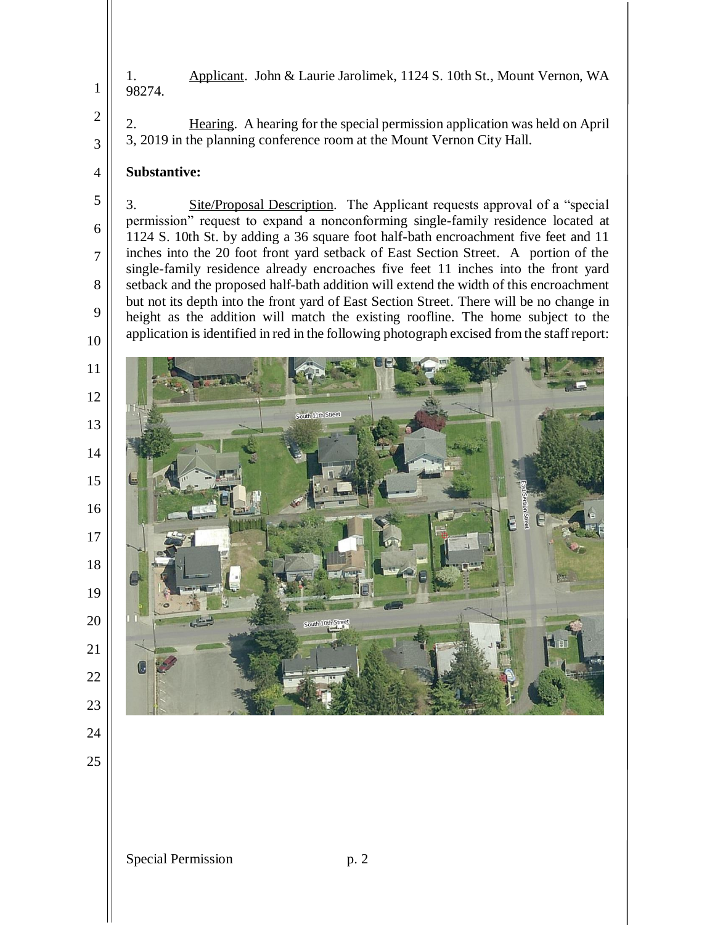1. Applicant. John & Laurie Jarolimek, 1124 S. 10th St., Mount Vernon, WA 98274.

2. Hearing. A hearing for the special permission application was held on April 3, 2019 in the planning conference room at the Mount Vernon City Hall.

## **Substantive:**

3. Site/Proposal Description. The Applicant requests approval of a "special permission" request to expand a nonconforming single-family residence located at 1124 S. 10th St. by adding a 36 square foot half-bath encroachment five feet and 11 inches into the 20 foot front yard setback of East Section Street. A portion of the single-family residence already encroaches five feet 11 inches into the front yard setback and the proposed half-bath addition will extend the width of this encroachment but not its depth into the front yard of East Section Street. There will be no change in height as the addition will match the existing roofline. The home subject to the application is identified in red in the following photograph excised from the staff report:

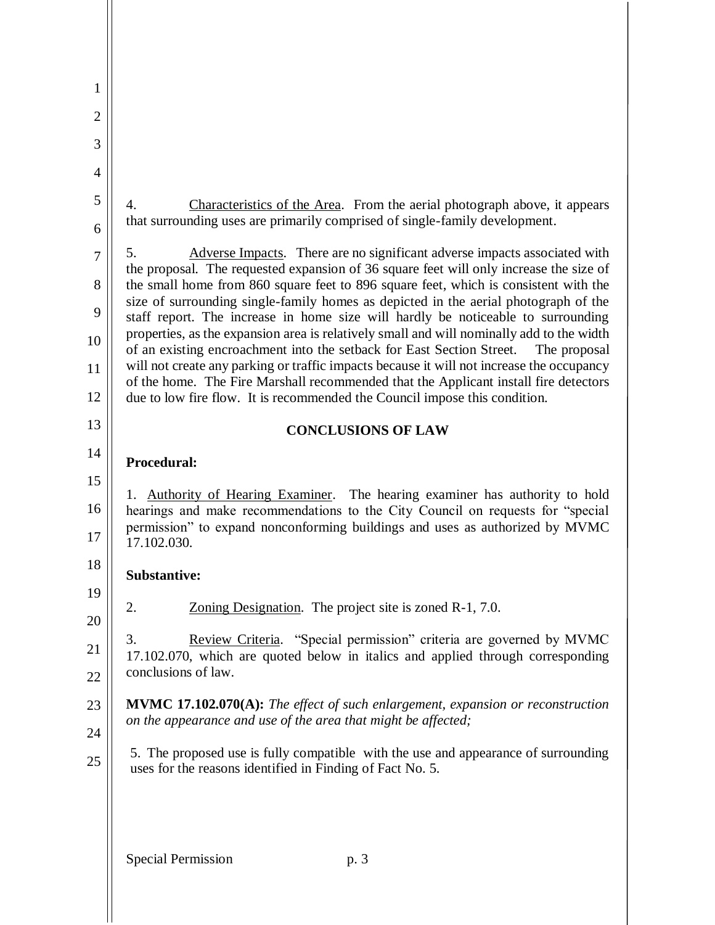| 1              |                                                                                                                                                                                                                                                   |  |
|----------------|---------------------------------------------------------------------------------------------------------------------------------------------------------------------------------------------------------------------------------------------------|--|
| $\overline{2}$ |                                                                                                                                                                                                                                                   |  |
| 3              |                                                                                                                                                                                                                                                   |  |
| $\overline{4}$ |                                                                                                                                                                                                                                                   |  |
| 5              | Characteristics of the Area. From the aerial photograph above, it appears<br>4.                                                                                                                                                                   |  |
| 6              | that surrounding uses are primarily comprised of single-family development.                                                                                                                                                                       |  |
| $\overline{7}$ | 5.<br>Adverse Impacts. There are no significant adverse impacts associated with                                                                                                                                                                   |  |
| 8              | the proposal. The requested expansion of 36 square feet will only increase the size of<br>the small home from 860 square feet to 896 square feet, which is consistent with the                                                                    |  |
| 9              | size of surrounding single-family homes as depicted in the aerial photograph of the<br>staff report. The increase in home size will hardly be noticeable to surrounding                                                                           |  |
| 10             | properties, as the expansion area is relatively small and will nominally add to the width<br>of an existing encroachment into the setback for East Section Street.<br>The proposal                                                                |  |
| 11             | will not create any parking or traffic impacts because it will not increase the occupancy                                                                                                                                                         |  |
| 12             | of the home. The Fire Marshall recommended that the Applicant install fire detectors<br>due to low fire flow. It is recommended the Council impose this condition.                                                                                |  |
| 13             | <b>CONCLUSIONS OF LAW</b>                                                                                                                                                                                                                         |  |
| 14             | Procedural:                                                                                                                                                                                                                                       |  |
| 15             |                                                                                                                                                                                                                                                   |  |
| 16<br>17       | Authority of Hearing Examiner. The hearing examiner has authority to hold<br>1.<br>hearings and make recommendations to the City Council on requests for "special<br>permission" to expand nonconforming buildings and uses as authorized by MVMC |  |
| 18             | 17.102.030.                                                                                                                                                                                                                                       |  |
| 19             | <b>Substantive:</b>                                                                                                                                                                                                                               |  |
| 20             | Zoning Designation. The project site is zoned R-1, 7.0.<br>2.                                                                                                                                                                                     |  |
| 21             | 3.<br>Review Criteria. "Special permission" criteria are governed by MVMC                                                                                                                                                                         |  |
| 22             | 17.102.070, which are quoted below in italics and applied through corresponding<br>conclusions of law.                                                                                                                                            |  |
| 23             | <b>MVMC 17.102.070(A):</b> The effect of such enlargement, expansion or reconstruction                                                                                                                                                            |  |
| 24             | on the appearance and use of the area that might be affected;                                                                                                                                                                                     |  |
| 25             | 5. The proposed use is fully compatible with the use and appearance of surrounding<br>uses for the reasons identified in Finding of Fact No. 5.                                                                                                   |  |
|                |                                                                                                                                                                                                                                                   |  |
|                | <b>Special Permission</b><br>p. 3                                                                                                                                                                                                                 |  |